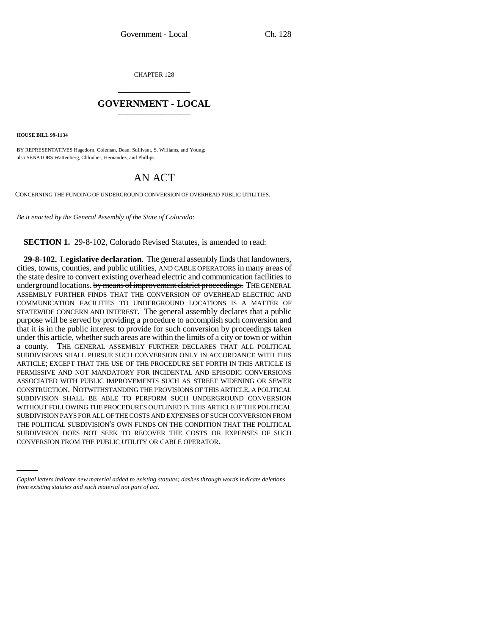CHAPTER 128 \_\_\_\_\_\_\_\_\_\_\_\_\_\_\_

## **GOVERNMENT - LOCAL** \_\_\_\_\_\_\_\_\_\_\_\_\_\_\_

**HOUSE BILL 99-1134** 

BY REPRESENTATIVES Hagedorn, Coleman, Dean, Sullivant, S. Williams, and Young; also SENATORS Wattenberg, Chlouber, Hernandez, and Phillips.

## AN ACT

CONCERNING THE FUNDING OF UNDERGROUND CONVERSION OF OVERHEAD PUBLIC UTILITIES.

*Be it enacted by the General Assembly of the State of Colorado:*

**SECTION 1.** 29-8-102, Colorado Revised Statutes, is amended to read:

SUBDIVISION DOES NOT SEEK TO RECOVER THE COSTS OR EXPENSES OF SUCH **29-8-102. Legislative declaration.** The general assembly finds that landowners, cities, towns, counties, and public utilities, AND CABLE OPERATORS in many areas of the state desire to convert existing overhead electric and communication facilities to underground locations. by means of improvement district proceedings. THE GENERAL ASSEMBLY FURTHER FINDS THAT THE CONVERSION OF OVERHEAD ELECTRIC AND COMMUNICATION FACILITIES TO UNDERGROUND LOCATIONS IS A MATTER OF STATEWIDE CONCERN AND INTEREST. The general assembly declares that a public purpose will be served by providing a procedure to accomplish such conversion and that it is in the public interest to provide for such conversion by proceedings taken under this article, whether such areas are within the limits of a city or town or within a county. THE GENERAL ASSEMBLY FURTHER DECLARES THAT ALL POLITICAL SUBDIVISIONS SHALL PURSUE SUCH CONVERSION ONLY IN ACCORDANCE WITH THIS ARTICLE; EXCEPT THAT THE USE OF THE PROCEDURE SET FORTH IN THIS ARTICLE IS PERMISSIVE AND NOT MANDATORY FOR INCIDENTAL AND EPISODIC CONVERSIONS ASSOCIATED WITH PUBLIC IMPROVEMENTS SUCH AS STREET WIDENING OR SEWER CONSTRUCTION. NOTWITHSTANDING THE PROVISIONS OF THIS ARTICLE, A POLITICAL SUBDIVISION SHALL BE ABLE TO PERFORM SUCH UNDERGROUND CONVERSION WITHOUT FOLLOWING THE PROCEDURES OUTLINED IN THIS ARTICLE IF THE POLITICAL SUBDIVISION PAYS FOR ALL OF THE COSTS AND EXPENSES OF SUCH CONVERSION FROM THE POLITICAL SUBDIVISION'S OWN FUNDS ON THE CONDITION THAT THE POLITICAL CONVERSION FROM THE PUBLIC UTILITY OR CABLE OPERATOR.

*Capital letters indicate new material added to existing statutes; dashes through words indicate deletions from existing statutes and such material not part of act.*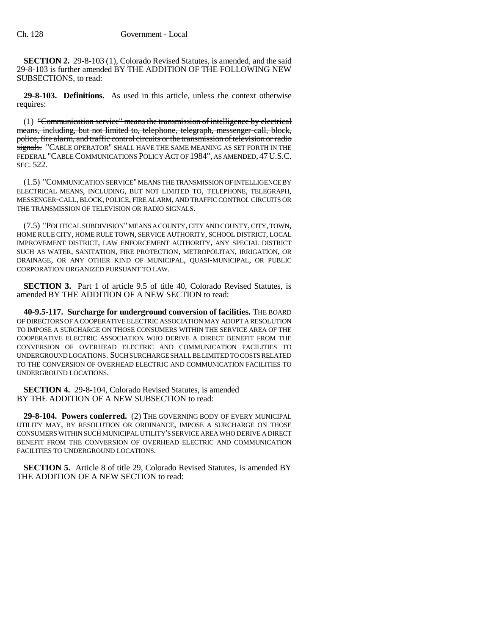**SECTION 2.** 29-8-103 (1), Colorado Revised Statutes, is amended, and the said 29-8-103 is further amended BY THE ADDITION OF THE FOLLOWING NEW SUBSECTIONS, to read:

**29-8-103. Definitions.** As used in this article, unless the context otherwise requires:

(1) "Communication service" means the transmission of intelligence by electrical means, including, but not limited to, telephone, telegraph, messenger-call, block, police, fire alarm, and traffic control circuits or the transmission of television or radio signals. "CABLE OPERATOR" SHALL HAVE THE SAME MEANING AS SET FORTH IN THE FEDERAL "CABLE COMMUNICATIONS POLICY ACT OF 1984", AS AMENDED, 47U.S.C. SEC. 522.

(1.5) "COMMUNICATION SERVICE" MEANS THE TRANSMISSION OF INTELLIGENCE BY ELECTRICAL MEANS, INCLUDING, BUT NOT LIMITED TO, TELEPHONE, TELEGRAPH, MESSENGER-CALL, BLOCK, POLICE, FIRE ALARM, AND TRAFFIC CONTROL CIRCUITS OR THE TRANSMISSION OF TELEVISION OR RADIO SIGNALS.

(7.5) "POLITICAL SUBDIVISION" MEANS A COUNTY, CITY AND COUNTY, CITY, TOWN, HOME RULE CITY, HOME RULE TOWN, SERVICE AUTHORITY, SCHOOL DISTRICT, LOCAL IMPROVEMENT DISTRICT, LAW ENFORCEMENT AUTHORITY, ANY SPECIAL DISTRICT SUCH AS WATER, SANITATION, FIRE PROTECTION, METROPOLITAN, IRRIGATION, OR DRAINAGE, OR ANY OTHER KIND OF MUNICIPAL, QUASI-MUNICIPAL, OR PUBLIC CORPORATION ORGANIZED PURSUANT TO LAW.

**SECTION 3.** Part 1 of article 9.5 of title 40, Colorado Revised Statutes, is amended BY THE ADDITION OF A NEW SECTION to read:

**40-9.5-117. Surcharge for underground conversion of facilities.** THE BOARD OF DIRECTORS OF A COOPERATIVE ELECTRIC ASSOCIATION MAY ADOPT A RESOLUTION TO IMPOSE A SURCHARGE ON THOSE CONSUMERS WITHIN THE SERVICE AREA OF THE COOPERATIVE ELECTRIC ASSOCIATION WHO DERIVE A DIRECT BENEFIT FROM THE CONVERSION OF OVERHEAD ELECTRIC AND COMMUNICATION FACILITIES TO UNDERGROUND LOCATIONS. SUCH SURCHARGE SHALL BE LIMITED TO COSTS RELATED TO THE CONVERSION OF OVERHEAD ELECTRIC AND COMMUNICATION FACILITIES TO UNDERGROUND LOCATIONS.

**SECTION 4.** 29-8-104, Colorado Revised Statutes, is amended BY THE ADDITION OF A NEW SUBSECTION to read:

**29-8-104. Powers conferred.** (2) THE GOVERNING BODY OF EVERY MUNICIPAL UTILITY MAY, BY RESOLUTION OR ORDINANCE, IMPOSE A SURCHARGE ON THOSE CONSUMERS WITHIN SUCH MUNICIPAL UTILITY'S SERVICE AREA WHO DERIVE A DIRECT BENEFIT FROM THE CONVERSION OF OVERHEAD ELECTRIC AND COMMUNICATION FACILITIES TO UNDERGROUND LOCATIONS.

**SECTION 5.** Article 8 of title 29, Colorado Revised Statutes, is amended BY THE ADDITION OF A NEW SECTION to read: